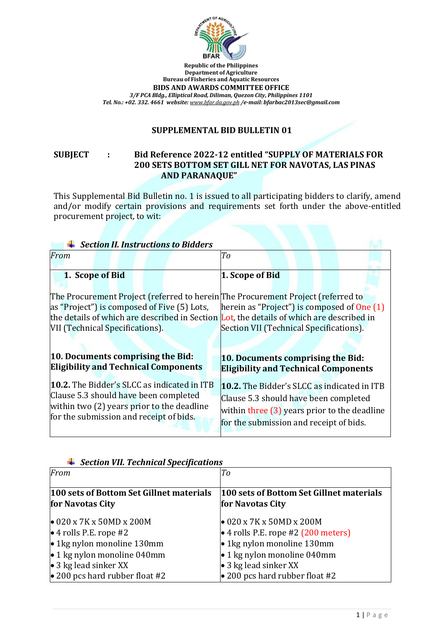

**Republic of the Philippines Department of Agriculture Bureau of Fisheries and Aquatic Resources BIDS AND AWARDS COMMITTEE OFFICE** *3/F PCA Bldg., Elliptical Road, Diliman, Quezon City, Philippines 1101 Tel. No.: +02. 332. 4661 website: [www.bfar.da.gov.ph](http://www.bfar.da.gov.ph/) /e-mail: [bfarbac2013sec@gmail.com](mailto:bfarbac2013sec@gmail.com)*

## **SUPPLEMENTAL BID BULLETIN 01**

## **SUBJECT : Bid Reference 2022-12 entitled "SUPPLY OF MATERIALS FOR 200 SETS BOTTOM SET GILL NET FOR NAVOTAS, LAS PINAS AND PARANAQUE"**

This Supplemental Bid Bulletin no. 1 is issued to all participating bidders to clarify, amend and/or modify certain provisions and requirements set forth under the above-entitled procurement project, to wit:

| <b>Section II. Instructions to Bidders</b>                                                                                                                                                                                                                     |                                                                                                                                                                                          |
|----------------------------------------------------------------------------------------------------------------------------------------------------------------------------------------------------------------------------------------------------------------|------------------------------------------------------------------------------------------------------------------------------------------------------------------------------------------|
| From                                                                                                                                                                                                                                                           | To                                                                                                                                                                                       |
|                                                                                                                                                                                                                                                                |                                                                                                                                                                                          |
| 1. Scope of Bid                                                                                                                                                                                                                                                | 1. Scope of Bid                                                                                                                                                                          |
| The Procurement Project (referred to herein The Procurement Project (referred to<br>as "Project") is composed of Five (5) Lots,<br>the details of which are described in Section Lot, the details of which are described in<br>VII (Technical Specifications). | herein as "Project") is composed of $One(1)$<br>Section VII (Technical Specifications).                                                                                                  |
| 10. Documents comprising the Bid:<br><b>Eligibility and Technical Components</b>                                                                                                                                                                               | 10. Documents comprising the Bid:<br><b>Eligibility and Technical Components</b>                                                                                                         |
| 10.2. The Bidder's SLCC as indicated in ITB<br>Clause 5.3 should have been completed<br>within two $(2)$ years prior to the deadline<br>for the submission and receipt of bids.                                                                                | <b>10.2.</b> The Bidder's SLCC as indicated in ITB<br>Clause 5.3 should have been completed<br>within three $(3)$ years prior to the deadline<br>for the submission and receipt of bids. |

| section vil. recunicul specificutions<br>From                      | To                                                                              |
|--------------------------------------------------------------------|---------------------------------------------------------------------------------|
| 100 sets of Bottom Set Gillnet materials<br>for Navotas City       | 100 sets of Bottom Set Gillnet materials<br>for Navotas City                    |
| $\bullet$ 020 x 7K x 50MD x 200M<br>$\bullet$ 4 rolls P.E. rope #2 | $\bullet$ 020 x 7K x 50MD x 200M<br>$\bullet$ 4 rolls P.E. rope #2 (200 meters) |
| $\bullet$ 1 kg nylon monoline 130 mm                               | • 1kg nylon monoline 130mm                                                      |
| $\bullet$ 1 kg nylon monoline 040mm                                | $\bullet$ 1 kg nylon monoline 040mm                                             |
| • 3 kg lead sinker $XX$                                            | • 3 kg lead sinker XX                                                           |
| $\bullet$ 200 pcs hard rubber float #2                             | $\bullet$ 200 pcs hard rubber float #2                                          |

*Section VII. Technical Specifications*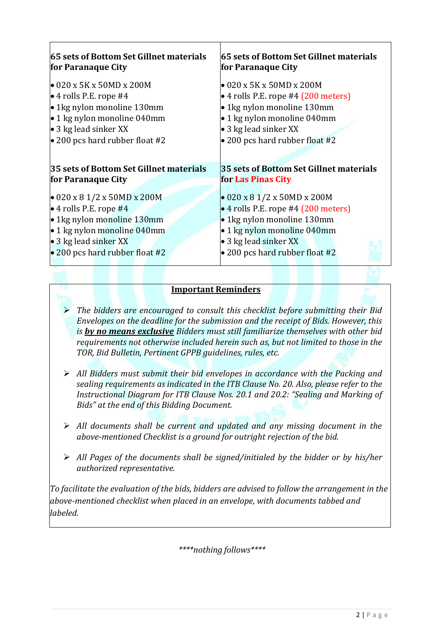| 65 sets of Bottom Set Gillnet materials | 65 sets of Bottom Set Gillnet materials     |
|-----------------------------------------|---------------------------------------------|
| for Paranaque City                      | for Paranaque City                          |
| $\bullet$ 020 x 5K x 50MD x 200M        | $\bullet$ 020 x 5K x 50MD x 200M            |
| $\bullet$ 4 rolls P.E. rope #4          | $\bullet$ 4 rolls P.E. rope #4 (200 meters) |
| • 1 kg nylon monoline 130 mm            | • 1kg nylon monoline 130mm                  |
| $\bullet$ 1 kg nylon monoline 040mm     | • 1 kg nylon monoline 040mm                 |
| • 3 kg lead sinker $XX$                 | • 3 kg lead sinker XX                       |
| $\bullet$ 200 pcs hard rubber float #2  | • 200 pcs hard rubber float #2              |
| 35 sets of Bottom Set Gillnet materials | 35 sets of Bottom Set Gillnet materials     |
| for Paranaque City                      | for Las Pinas City                          |
| $\bullet$ 020 x 8 1/2 x 50MD x 200M     | $\bullet$ 020 x 8 1/2 x 50MD x 200M         |
| $\bullet$ 4 rolls P.E. rope #4          | $\bullet$ 4 rolls P.E. rope #4 (200 meters) |
| • 1kg nylon monoline 130mm              | • 1kg nylon monoline 130mm                  |
| $\bullet$ 1 kg nylon monoline 040mm     | • 1 kg nylon monoline 040mm                 |
| • 3 kg lead sinker XX                   | • 3 kg lead sinker XX                       |
| $\bullet$ 200 pcs hard rubber float #2  | • 200 pcs hard rubber float #2              |

## **Important Reminders**

- *The bidders are encouraged to consult this checklist before submitting their Bid Envelopes on the deadline for the submission and the receipt of Bids. However, this is by no means exclusive Bidders must still familiarize themselves with other bid requirements not otherwise included herein such as, but not limited to those in the TOR, Bid Bulletin, Pertinent GPPB guidelines, rules, etc.*
- *All Bidders must submit their bid envelopes in accordance with the Packing and sealing requirements as indicated in the ITB Clause No. 20. Also, please refer to the Instructional Diagram for ITB Clause Nos. 20.1 and 20.2: "Sealing and Marking of Bids" at the end of this Bidding Document.*
- *All documents shall be current and updated and any missing document in the above-mentioned Checklist is a ground for outright rejection of the bid.*
- *All Pages of the documents shall be signed/initialed by the bidder or by his/her authorized representative.*

*To facilitate the evaluation of the bids, bidders are advised to follow the arrangement in the above-mentioned checklist when placed in an envelope, with documents tabbed and labeled.*

*\*\*\*\*nothing follows\*\*\*\**